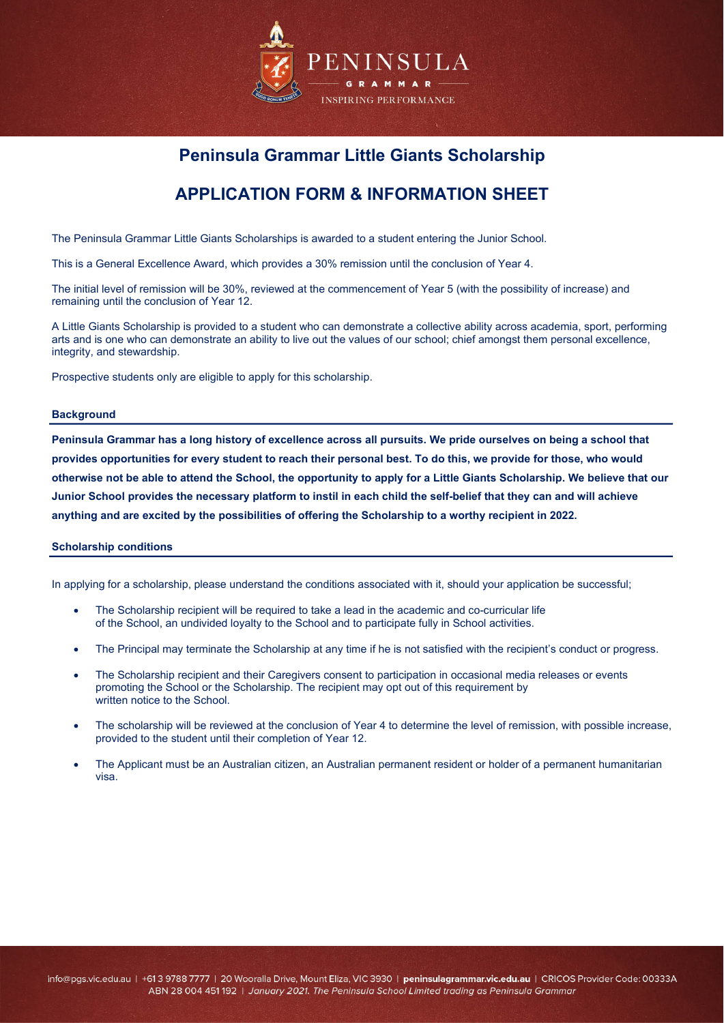

# **Peninsula Grammar Little Giants Scholarship**

# **APPLICATION FORM & INFORMATION SHEET**

The Peninsula Grammar Little Giants Scholarships is awarded to a student entering the Junior School.

This is a General Excellence Award, which provides a 30% remission until the conclusion of Year 4.

The initial level of remission will be 30%, reviewed at the commencement of Year 5 (with the possibility of increase) and remaining until the conclusion of Year 12.

A Little Giants Scholarship is provided to a student who can demonstrate a collective ability across academia, sport, performing arts and is one who can demonstrate an ability to live out the values of our school; chief amongst them personal excellence, integrity, and stewardship.

Prospective students only are eligible to apply for this scholarship.

#### **Background**

**Peninsula Grammar has a long history of excellence across all pursuits. We pride ourselves on being a school that provides opportunities for every student to reach their personal best. To do this, we provide for those, who would otherwise not be able to attend the School, the opportunity to apply for a Little Giants Scholarship. We believe that our Junior School provides the necessary platform to instil in each child the self-belief that they can and will achieve anything and are excited by the possibilities of offering the Scholarship to a worthy recipient in 2022.**

#### **Scholarship conditions**

In applying for a scholarship, please understand the conditions associated with it, should your application be successful;

- The Scholarship recipient will be required to take a lead in the academic and co-curricular life of the School, an undivided loyalty to the School and to participate fully in School activities.
- The Principal may terminate the Scholarship at any time if he is not satisfied with the recipient's conduct or progress.
- The Scholarship recipient and their Caregivers consent to participation in occasional media releases or events promoting the School or the Scholarship. The recipient may opt out of this requirement by written notice to the School.
- The scholarship will be reviewed at the conclusion of Year 4 to determine the level of remission, with possible increase, provided to the student until their completion of Year 12.
- The Applicant must be an Australian citizen, an Australian permanent resident or holder of a permanent humanitarian visa.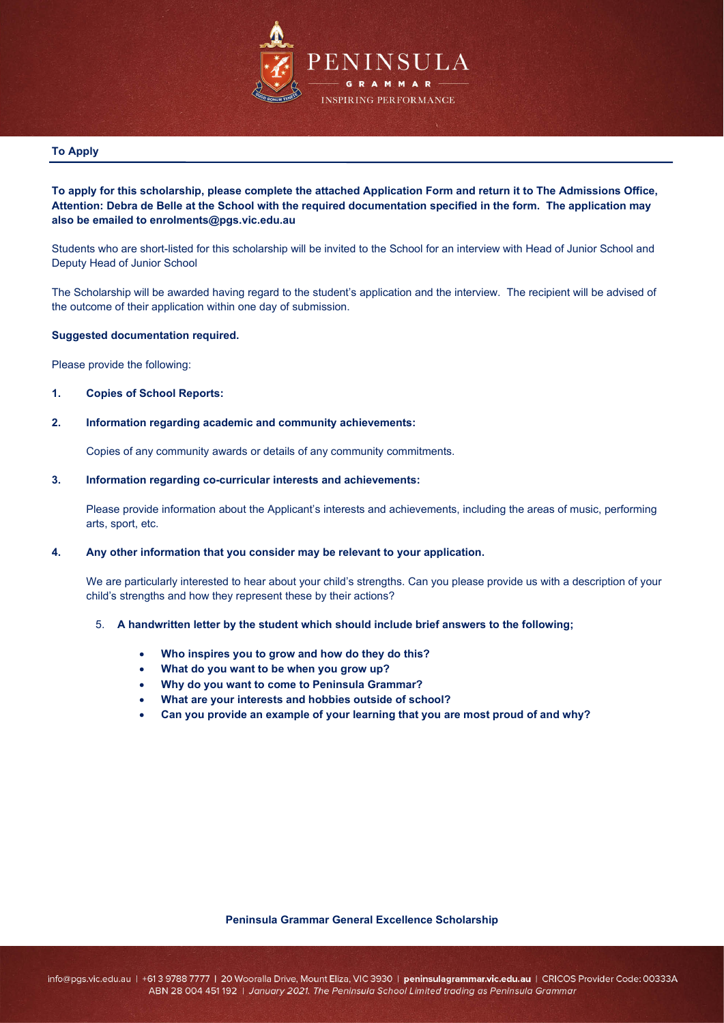

#### **To Apply**

## **To apply for this scholarship, please complete the attached Application Form and return it to The Admissions Office, Attention: Debra de Belle at the School with the required documentation specified in the form. The application may also be emailed to enrolments@pgs.vic.edu.au**

Students who are short-listed for this scholarship will be invited to the School for an interview with Head of Junior School and Deputy Head of Junior School

The Scholarship will be awarded having regard to the student's application and the interview. The recipient will be advised of the outcome of their application within one day of submission.

#### **Suggested documentation required.**

Please provide the following:

## **1. Copies of School Reports:**

#### **2. Information regarding academic and community achievements:**

Copies of any community awards or details of any community commitments.

#### **3. Information regarding co-curricular interests and achievements:**

Please provide information about the Applicant's interests and achievements, including the areas of music, performing arts, sport, etc.

## **4. Any other information that you consider may be relevant to your application.**

We are particularly interested to hear about your child's strengths. Can you please provide us with a description of your child's strengths and how they represent these by their actions?

#### 5. **A handwritten letter by the student which should include brief answers to the following;**

- **Who inspires you to grow and how do they do this?**
- **What do you want to be when you grow up?**
- **Why do you want to come to Peninsula Grammar?**
- **What are your interests and hobbies outside of school?**
- **Can you provide an example of your learning that you are most proud of and why?**

#### **Peninsula Grammar General Excellence Scholarship**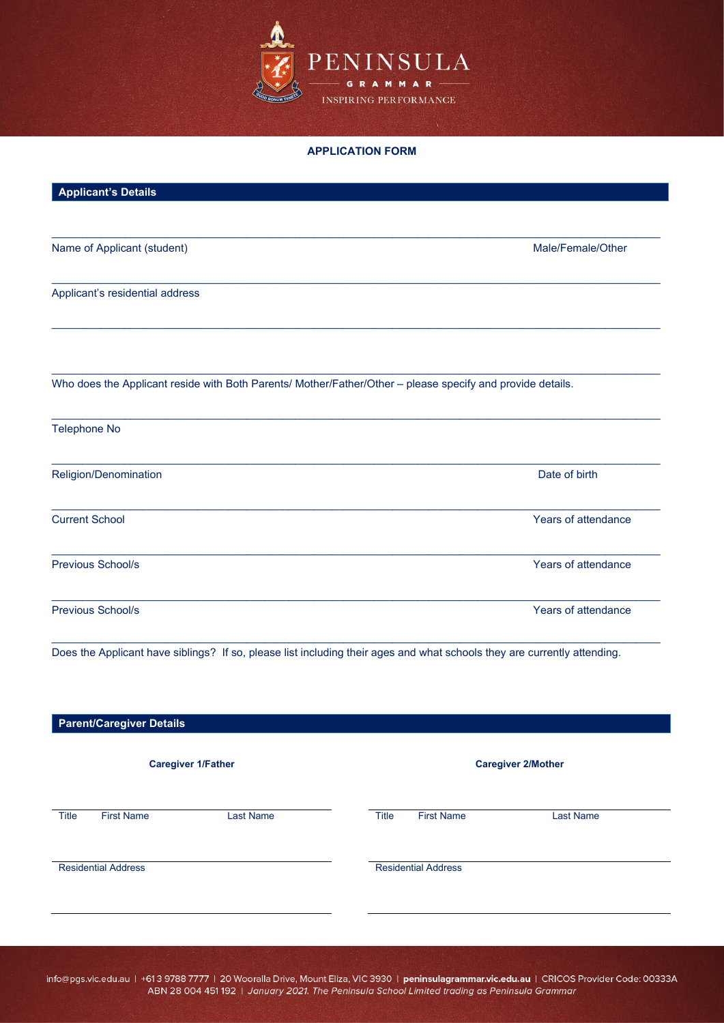

#### **APPLICATION FORM**

| Name of Applicant (student)                                                                                | Male/Female/Other   |
|------------------------------------------------------------------------------------------------------------|---------------------|
| Applicant's residential address                                                                            |                     |
| Who does the Applicant reside with Both Parents/ Mother/Father/Other - please specify and provide details. |                     |
| <b>Telephone No</b>                                                                                        |                     |
|                                                                                                            |                     |
|                                                                                                            | Date of birth       |
|                                                                                                            | Years of attendance |
| Religion/Denomination<br><b>Current School</b><br>Previous School/s                                        | Years of attendance |

| <b>Parent/Caregiver Details</b> |                   |                  |                           |                            |                  |  |
|---------------------------------|-------------------|------------------|---------------------------|----------------------------|------------------|--|
| <b>Caregiver 1/Father</b>       |                   |                  | <b>Caregiver 2/Mother</b> |                            |                  |  |
| <b>Title</b>                    | <b>First Name</b> | <b>Last Name</b> | Title                     | <b>First Name</b>          | <b>Last Name</b> |  |
| <b>Residential Address</b>      |                   |                  |                           | <b>Residential Address</b> |                  |  |
|                                 |                   |                  |                           |                            |                  |  |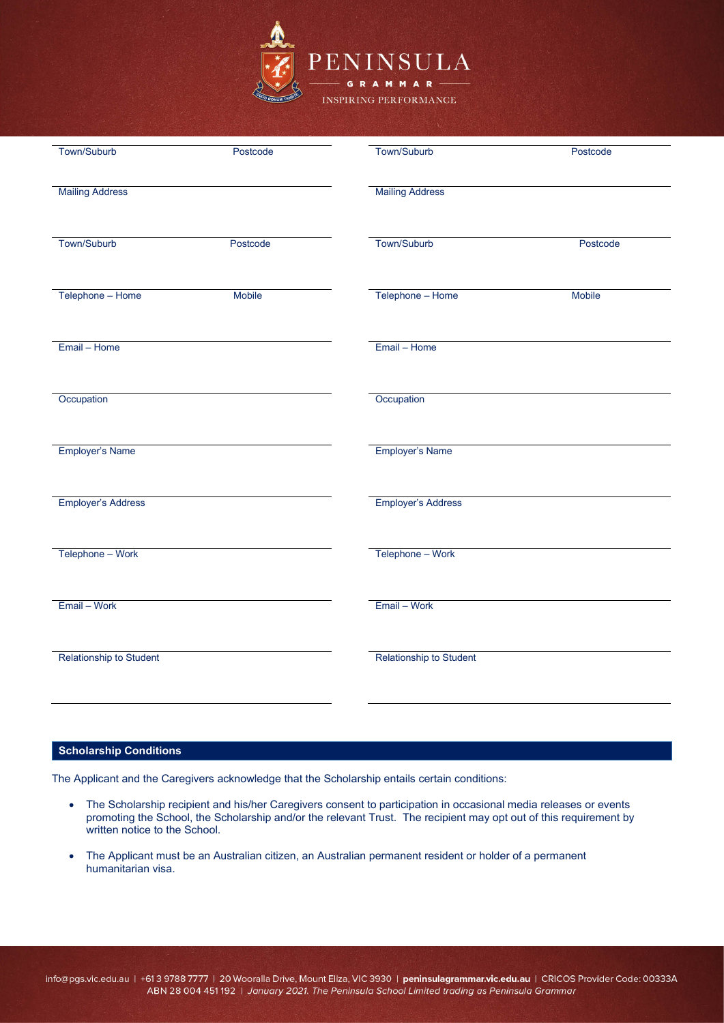

| Town/Suburb               | Postcode | Town/Suburb               | Postcode      |
|---------------------------|----------|---------------------------|---------------|
| <b>Mailing Address</b>    |          | <b>Mailing Address</b>    |               |
| Town/Suburb               | Postcode | Town/Suburb               | Postcode      |
| Telephone - Home          | Mobile   | Telephone - Home          | <b>Mobile</b> |
| Email - Home              |          | Email - Home              |               |
| Occupation                |          | Occupation                |               |
| Employer's Name           |          | <b>Employer's Name</b>    |               |
| <b>Employer's Address</b> |          | <b>Employer's Address</b> |               |
| Telephone - Work          |          | Telephone - Work          |               |
| Email - Work              |          | Email - Work              |               |
| Relationship to Student   |          | Relationship to Student   |               |
|                           |          |                           |               |

# **Scholarship Conditions**

The Applicant and the Caregivers acknowledge that the Scholarship entails certain conditions:

- The Scholarship recipient and his/her Caregivers consent to participation in occasional media releases or events promoting the School, the Scholarship and/or the relevant Trust. The recipient may opt out of this requirement by written notice to the School.
- The Applicant must be an Australian citizen, an Australian permanent resident or holder of a permanent humanitarian visa.